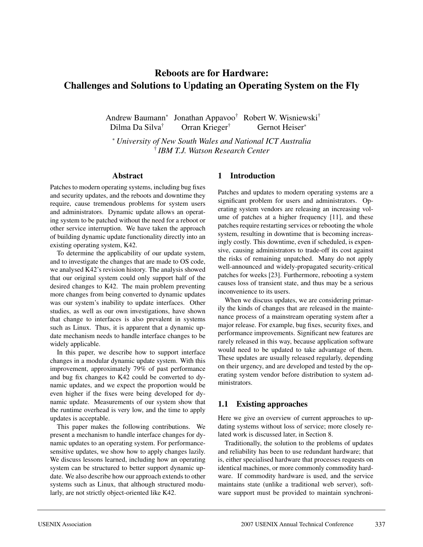# **Reboots are for Hardware: Challenges and Solutions to Updating an Operating System on the Fly**

Andrew Baumann<sup>∗</sup> Jonathan Appavoo† Robert W. Wisniewski† Dilma Da Silva<sup>†</sup> Orran Krieger<sup>†</sup> Gernot Heiser<sup>∗</sup>

<sup>∗</sup> *University of New South Wales and National ICT Australia* † *IBM T.J. Watson Research Center*

#### **Abstract**

Patches to modern operating systems, including bug fixes and security updates, and the reboots and downtime they require, cause tremendous problems for system users and administrators. Dynamic update allows an operating system to be patched without the need for a reboot or other service interruption. We have taken the approach of building dynamic update functionality directly into an existing operating system, K42.

To determine the applicability of our update system, and to investigate the changes that are made to OS code, we analysed K42's revision history. The analysis showed that our original system could only support half of the desired changes to K42. The main problem preventing more changes from being converted to dynamic updates was our system's inability to update interfaces. Other studies, as well as our own investigations, have shown that change to interfaces is also prevalent in systems such as Linux. Thus, it is apparent that a dynamic update mechanism needs to handle interface changes to be widely applicable.

In this paper, we describe how to support interface changes in a modular dynamic update system. With this improvement, approximately 79% of past performance and bug fix changes to K42 could be converted to dynamic updates, and we expect the proportion would be even higher if the fixes were being developed for dynamic update. Measurements of our system show that the runtime overhead is very low, and the time to apply updates is acceptable.

This paper makes the following contributions. We present a mechanism to handle interface changes for dynamic updates to an operating system. For performancesensitive updates, we show how to apply changes lazily. We discuss lessons learned, including how an operating system can be structured to better support dynamic update. We also describe how our approach extends to other systems such as Linux, that although structured modularly, are not strictly object-oriented like K42.

### **1 Introduction**

Patches and updates to modern operating systems are a significant problem for users and administrators. Operating system vendors are releasing an increasing volume of patches at a higher frequency [11], and these patches require restarting services or rebooting the whole system, resulting in downtime that is becoming increasingly costly. This downtime, even if scheduled, is expensive, causing administrators to trade-off its cost against the risks of remaining unpatched. Many do not apply well-announced and widely-propagated security-critical patches for weeks [23]. Furthermore, rebooting a system causes loss of transient state, and thus may be a serious inconvenience to its users.

When we discuss updates, we are considering primarily the kinds of changes that are released in the maintenance process of a mainstream operating system after a major release. For example, bug fixes, security fixes, and performance improvements. Significant new features are rarely released in this way, because application software would need to be updated to take advantage of them. These updates are usually released regularly, depending on their urgency, and are developed and tested by the operating system vendor before distribution to system administrators.

### **1.1 Existing approaches**

Here we give an overview of current approaches to updating systems without loss of service; more closely related work is discussed later, in Section 8.

Traditionally, the solution to the problems of updates and reliability has been to use redundant hardware; that is, either specialised hardware that processes requests on identical machines, or more commonly commodity hardware. If commodity hardware is used, and the service maintains state (unlike a traditional web server), software support must be provided to maintain synchroni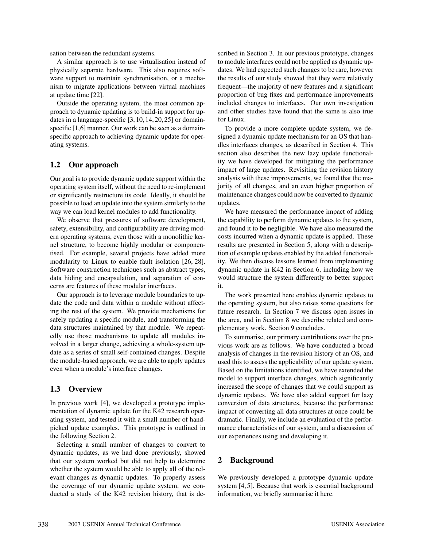sation between the redundant systems.

A similar approach is to use virtualisation instead of physically separate hardware. This also requires software support to maintain synchronisation, or a mechanism to migrate applications between virtual machines at update time [22].

Outside the operating system, the most common approach to dynamic updating is to build-in support for updates in a language-specific [3, 10, 14, 20, 25] or domainspecific [1,6] manner. Our work can be seen as a domainspecific approach to achieving dynamic update for operating systems.

# **1.2 Our approach**

Our goal is to provide dynamic update support within the operating system itself, without the need to re-implement or significantly restructure its code. Ideally, it should be possible to load an update into the system similarly to the way we can load kernel modules to add functionality.

We observe that pressures of software development, safety, extensibility, and configurability are driving modern operating systems, even those with a monolithic kernel structure, to become highly modular or componentised. For example, several projects have added more modularity to Linux to enable fault isolation [26, 28]. Software construction techniques such as abstract types, data hiding and encapsulation, and separation of concerns are features of these modular interfaces.

Our approach is to leverage module boundaries to update the code and data within a module without affecting the rest of the system. We provide mechanisms for safely updating a specific module, and transforming the data structures maintained by that module. We repeatedly use those mechanisms to update all modules involved in a larger change, achieving a whole-system update as a series of small self-contained changes. Despite the module-based approach, we are able to apply updates even when a module's interface changes.

### **1.3 Overview**

In previous work [4], we developed a prototype implementation of dynamic update for the K42 research operating system, and tested it with a small number of handpicked update examples. This prototype is outlined in the following Section 2.

Selecting a small number of changes to convert to dynamic updates, as we had done previously, showed that our system worked but did not help to determine whether the system would be able to apply all of the relevant changes as dynamic updates. To properly assess the coverage of our dynamic update system, we conducted a study of the K42 revision history, that is described in Section 3. In our previous prototype, changes to module interfaces could not be applied as dynamic updates. We had expected such changes to be rare, however the results of our study showed that they were relatively frequent—the majority of new features and a significant proportion of bug fixes and performance improvements included changes to interfaces. Our own investigation and other studies have found that the same is also true for Linux.

To provide a more complete update system, we designed a dynamic update mechanism for an OS that handles interfaces changes, as described in Section 4. This section also describes the new lazy update functionality we have developed for mitigating the performance impact of large updates. Revisiting the revision history analysis with these improvements, we found that the majority of all changes, and an even higher proportion of maintenance changes could now be converted to dynamic updates.

We have measured the performance impact of adding the capability to perform dynamic updates to the system, and found it to be negligible. We have also measured the costs incurred when a dynamic update is applied. These results are presented in Section 5, along with a description of example updates enabled by the added functionality. We then discuss lessons learned from implementing dynamic update in K42 in Section 6, including how we would structure the system differently to better support it.

The work presented here enables dynamic updates to the operating system, but also raises some questions for future research. In Section 7 we discuss open issues in the area, and in Section 8 we describe related and complementary work. Section 9 concludes.

To summarise, our primary contributions over the previous work are as follows. We have conducted a broad analysis of changes in the revision history of an OS, and used this to assess the applicability of our update system. Based on the limitations identified, we have extended the model to support interface changes, which significantly increased the scope of changes that we could support as dynamic updates. We have also added support for lazy conversion of data structures, because the performance impact of converting all data structures at once could be dramatic. Finally, we include an evaluation of the performance characteristics of our system, and a discussion of our experiences using and developing it.

# **2 Background**

We previously developed a prototype dynamic update system [4, 5]. Because that work is essential background information, we briefly summarise it here.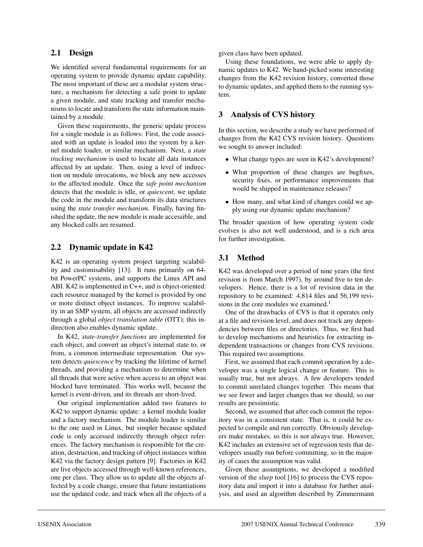### **2.1 Design**

We identified several fundamental requirements for an operating system to provide dynamic update capability. The most important of these are a modular system structure, a mechanism for detecting a safe point to update a given module, and state tracking and transfer mechanisms to locate and transform the state information maintained by a module.

Given these requirements, the generic update process for a single module is as follows: First, the code associated with an update is loaded into the system by a kernel module loader, or similar mechanism. Next, a *state tracking mechanism* is used to locate all data instances affected by an update. Then, using a level of indirection on module invocations, we block any new accesses to the affected module. Once the *safe point mechanism* detects that the module is idle, or *quiescent*, we update the code in the module and transform its data structures using the *state transfer mechanism*. Finally, having finished the update, the new module is made accessible, and any blocked calls are resumed.

### **2.2 Dynamic update in K42**

K42 is an operating system project targeting scalability and customisability [13]. It runs primarily on 64 bit PowerPC systems, and supports the Linux API and ABI. K42 is implemented in C++, and is object-oriented: each resource managed by the kernel is provided by one or more distinct object instances. To improve scalability in an SMP system, all objects are accessed indirectly through a global *object translation table* (OTT); this indirection also enables dynamic update.

In K42, *state-transfer functions* are implemented for each object, and convert an object's internal state to, or from, a common intermediate representation. Our system detects *quiescence* by tracking the lifetime of kernel threads, and providing a mechanism to determine when all threads that were active when access to an object was blocked have terminated. This works well, because the kernel is event-driven, and its threads are short-lived.

Our original implementation added two features to K42 to support dynamic update: a kernel module loader and a factory mechanism. The module loader is similar to the one used in Linux, but simpler because updated code is only accessed indirectly through object references. The factory mechanism is responsible for the creation, destruction, and tracking of object instances within K42 via the factory design pattern [9]. Factories in K42 are live objects accessed through well-known references, one per class. They allow us to update all the objects affected by a code change, ensure that future instantiations use the updated code, and track when all the objects of a given class have been updated.

Using these foundations, we were able to apply dynamic updates to K42. We hand-picked some interesting changes from the K42 revision history, converted those to dynamic updates, and applied them to the running system.

### **3 Analysis of CVS history**

In this section, we describe a study we have performed of changes from the K42 CVS revision history. Questions we sought to answer included:

- What change types are seen in K42's development?
- What proportion of these changes are bugfixes, security fixes, or performance improvements that would be shipped in maintenance releases?
- How many, and what kind of changes could we apply using our dynamic update mechanism?

The broader question of how operating system code evolves is also not well understood, and is a rich area for further investigation.

# **3.1 Method**

K42 was developed over a period of nine years (the first revision is from March 1997), by around five to ten developers. Hence, there is a lot of revision data in the repository to be examined: 4,814 files and 56,199 revisions in the core modules we examined.<sup>1</sup>

One of the drawbacks of CVS is that it operates only at a file and revision level, and does not track any dependencies between files or directories. Thus, we first had to develop mechanisms and heuristics for extracting independent transactions or changes from CVS revisions. This required two assumptions.

First, we assumed that each commit operation by a developer was a single logical change or feature. This is usually true, but not always. A few developers tended to commit unrelated changes together. This means that we see fewer and larger changes than we should, so our results are pessimistic.

Second, we assumed that after each commit the repository was in a consistent state. That is, it could be expected to compile and run correctly. Obviously developers make mistakes, so this is not always true. However, K42 includes an extensive set of regression tests that developers usually run before committing, so in the majority of cases the assumption was valid.

Given these assumptions, we developed a modified version of the *slurp* tool [16] to process the CVS repository data and import it into a database for further analysis, and used an algorithm described by Zimmermann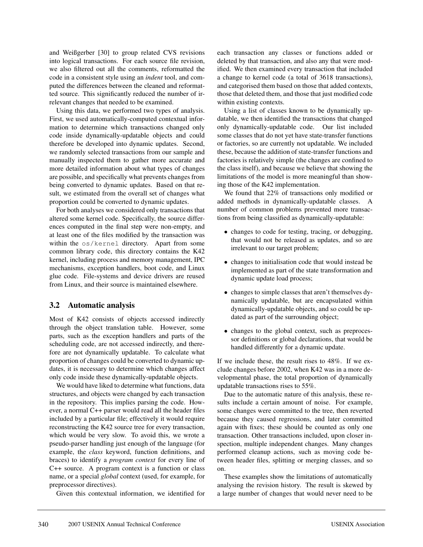and Weißgerber [30] to group related CVS revisions into logical transactions. For each source file revision, we also filtered out all the comments, reformatted the code in a consistent style using an *indent* tool, and computed the differences between the cleaned and reformatted source. This significantly reduced the number of irrelevant changes that needed to be examined.

Using this data, we performed two types of analysis. First, we used automatically-computed contextual information to determine which transactions changed only code inside dynamically-updatable objects and could therefore be developed into dynamic updates. Second, we randomly selected transactions from our sample and manually inspected them to gather more accurate and more detailed information about what types of changes are possible, and specifically what prevents changes from being converted to dynamic updates. Based on that result, we estimated from the overall set of changes what proportion could be converted to dynamic updates.

For both analyses we considered only transactions that altered some kernel code. Specifically, the source differences computed in the final step were non-empty, and at least one of the files modified by the transaction was within the os/kernel directory. Apart from some common library code, this directory contains the K42 kernel, including process and memory management, IPC mechanisms, exception handlers, boot code, and Linux glue code. File-systems and device drivers are reused from Linux, and their source is maintained elsewhere.

# **3.2 Automatic analysis**

Most of K42 consists of objects accessed indirectly through the object translation table. However, some parts, such as the exception handlers and parts of the scheduling code, are not accessed indirectly, and therefore are not dynamically updatable. To calculate what proportion of changes could be converted to dynamic updates, it is necessary to determine which changes affect only code inside these dynamically-updatable objects.

We would have liked to determine what functions, data structures, and objects were changed by each transaction in the repository. This implies parsing the code. However, a normal C++ parser would read all the header files included by a particular file; effectively it would require reconstructing the K42 source tree for every transaction, which would be very slow. To avoid this, we wrote a pseudo-parser handling just enough of the language (for example, the *class* keyword, function definitions, and braces) to identify a *program context* for every line of C++ source. A program context is a function or class name, or a special *global* context (used, for example, for preprocessor directives).

Given this contextual information, we identified for

each transaction any classes or functions added or deleted by that transaction, and also any that were modified. We then examined every transaction that included a change to kernel code (a total of 3618 transactions), and categorised them based on those that added contexts, those that deleted them, and those that just modified code within existing contexts.

Using a list of classes known to be dynamically updatable, we then identified the transactions that changed only dynamically-updatable code. Our list included some classes that do not yet have state-transfer functions or factories, so are currently not updatable. We included these, because the addition of state-transfer functions and factories is relatively simple (the changes are confined to the class itself), and because we believe that showing the limitations of the model is more meaningful than showing those of the K42 implementation.

We found that 22% of transactions only modified or added methods in dynamically-updatable classes. A number of common problems prevented more transactions from being classified as dynamically-updatable:

- changes to code for testing, tracing, or debugging, that would not be released as updates, and so are irrelevant to our target problem;
- changes to initialisation code that would instead be implemented as part of the state transformation and dynamic update load process;
- changes to simple classes that aren't themselves dynamically updatable, but are encapsulated within dynamically-updatable objects, and so could be updated as part of the surrounding object;
- changes to the global context, such as preprocessor definitions or global declarations, that would be handled differently for a dynamic update.

If we include these, the result rises to 48%. If we exclude changes before 2002, when K42 was in a more developmental phase, the total proportion of dynamically updatable transactions rises to 55%.

Due to the automatic nature of this analysis, these results include a certain amount of noise. For example, some changes were committed to the tree, then reverted because they caused regressions, and later committed again with fixes; these should be counted as only one transaction. Other transactions included, upon closer inspection, multiple independent changes. Many changes performed cleanup actions, such as moving code between header files, splitting or merging classes, and so on.

These examples show the limitations of automatically analysing the revision history. The result is skewed by a large number of changes that would never need to be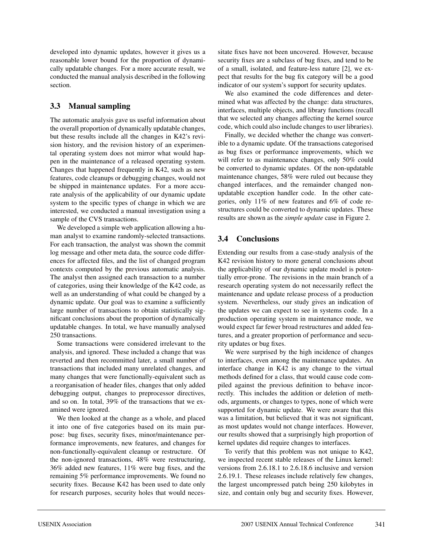developed into dynamic updates, however it gives us a reasonable lower bound for the proportion of dynamically updatable changes. For a more accurate result, we conducted the manual analysis described in the following section.

# **3.3 Manual sampling**

The automatic analysis gave us useful information about the overall proportion of dynamically updatable changes, but these results include all the changes in K42's revision history, and the revision history of an experimental operating system does not mirror what would happen in the maintenance of a released operating system. Changes that happened frequently in K42, such as new features, code cleanups or debugging changes, would not be shipped in maintenance updates. For a more accurate analysis of the applicability of our dynamic update system to the specific types of change in which we are interested, we conducted a manual investigation using a sample of the CVS transactions.

We developed a simple web application allowing a human analyst to examine randomly-selected transactions. For each transaction, the analyst was shown the commit log message and other meta data, the source code differences for affected files, and the list of changed program contexts computed by the previous automatic analysis. The analyst then assigned each transaction to a number of categories, using their knowledge of the K42 code, as well as an understanding of what could be changed by a dynamic update. Our goal was to examine a sufficiently large number of transactions to obtain statistically significant conclusions about the proportion of dynamically updatable changes. In total, we have manually analysed 250 transactions.

Some transactions were considered irrelevant to the analysis, and ignored. These included a change that was reverted and then recommitted later, a small number of transactions that included many unrelated changes, and many changes that were functionally-equivalent such as a reorganisation of header files, changes that only added debugging output, changes to preprocessor directives, and so on. In total, 39% of the transactions that we examined were ignored.

We then looked at the change as a whole, and placed it into one of five categories based on its main purpose: bug fixes, security fixes, minor/maintenance performance improvements, new features, and changes for non-functionally-equivalent cleanup or restructure. Of the non-ignored transactions, 48% were restructuring, 36% added new features, 11% were bug fixes, and the remaining 5% performance improvements. We found no security fixes. Because K42 has been used to date only for research purposes, security holes that would necessitate fixes have not been uncovered. However, because security fixes are a subclass of bug fixes, and tend to be of a small, isolated, and feature-less nature [2], we expect that results for the bug fix category will be a good indicator of our system's support for security updates.

We also examined the code differences and determined what was affected by the change: data structures, interfaces, multiple objects, and library functions (recall that we selected any changes affecting the kernel source code, which could also include changes to user libraries).

Finally, we decided whether the change was convertible to a dynamic update. Of the transactions categorised as bug fixes or performance improvements, which we will refer to as maintenance changes, only 50% could be converted to dynamic updates. Of the non-updatable maintenance changes, 58% were ruled out because they changed interfaces, and the remainder changed nonupdatable exception handler code. In the other categories, only 11% of new features and 6% of code restructures could be converted to dynamic updates. These results are shown as the *simple update* case in Figure 2.

# **3.4 Conclusions**

Extending our results from a case-study analysis of the K42 revision history to more general conclusions about the applicability of our dynamic update model is potentially error-prone. The revisions in the main branch of a research operating system do not necessarily reflect the maintenance and update release process of a production system. Nevertheless, our study gives an indication of the updates we can expect to see in systems code. In a production operating system in maintenance mode, we would expect far fewer broad restructures and added features, and a greater proportion of performance and security updates or bug fixes.

We were surprised by the high incidence of changes to interfaces, even among the maintenance updates. An interface change in K42 is any change to the virtual methods defined for a class, that would cause code compiled against the previous definition to behave incorrectly. This includes the addition or deletion of methods, arguments, or changes to types, none of which were supported for dynamic update. We were aware that this was a limitation, but believed that it was not significant, as most updates would not change interfaces. However, our results showed that a surprisingly high proportion of kernel updates did require changes to interfaces.

To verify that this problem was not unique to K42, we inspected recent stable releases of the Linux kernel: versions from 2.6.18.1 to 2.6.18.6 inclusive and version 2.6.19.1. These releases include relatively few changes, the largest uncompressed patch being 250 kilobytes in size, and contain only bug and security fixes. However,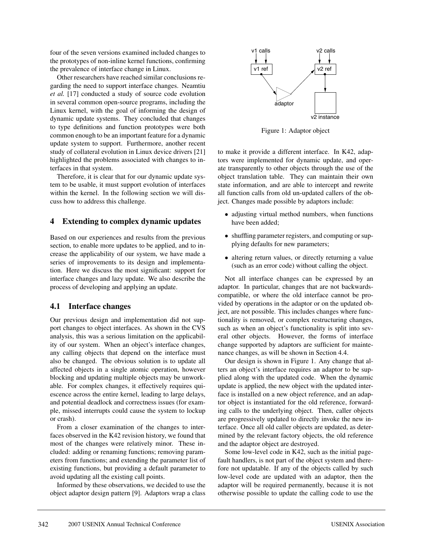four of the seven versions examined included changes to the prototypes of non-inline kernel functions, confirming the prevalence of interface change in Linux.

Other researchers have reached similar conclusions regarding the need to support interface changes. Neamtiu *et al.* [17] conducted a study of source code evolution in several common open-source programs, including the Linux kernel, with the goal of informing the design of dynamic update systems. They concluded that changes to type definitions and function prototypes were both common enough to be an important feature for a dynamic update system to support. Furthermore, another recent study of collateral evolution in Linux device drivers [21] highlighted the problems associated with changes to interfaces in that system.

Therefore, it is clear that for our dynamic update system to be usable, it must support evolution of interfaces within the kernel. In the following section we will discuss how to address this challenge.

### **4 Extending to complex dynamic updates**

Based on our experiences and results from the previous section, to enable more updates to be applied, and to increase the applicability of our system, we have made a series of improvements to its design and implementation. Here we discuss the most significant: support for interface changes and lazy update. We also describe the process of developing and applying an update.

# **4.1 Interface changes**

Our previous design and implementation did not support changes to object interfaces. As shown in the CVS analysis, this was a serious limitation on the applicability of our system. When an object's interface changes, any calling objects that depend on the interface must also be changed. The obvious solution is to update all affected objects in a single atomic operation, however blocking and updating multiple objects may be unworkable. For complex changes, it effectively requires quiescence across the entire kernel, leading to large delays, and potential deadlock and correctness issues (for example, missed interrupts could cause the system to lockup or crash).

From a closer examination of the changes to interfaces observed in the K42 revision history, we found that most of the changes were relatively minor. These included: adding or renaming functions; removing parameters from functions; and extending the parameter list of existing functions, but providing a default parameter to avoid updating all the existing call points.

Informed by these observations, we decided to use the object adaptor design pattern [9]. Adaptors wrap a class



Figure 1: Adaptor object

to make it provide a different interface. In K42, adaptors were implemented for dynamic update, and operate transparently to other objects through the use of the object translation table. They can maintain their own state information, and are able to intercept and rewrite all function calls from old un-updated callers of the object. Changes made possible by adaptors include:

- adjusting virtual method numbers, when functions have been added;
- shuffling parameter registers, and computing or supplying defaults for new parameters;
- altering return values, or directly returning a value (such as an error code) without calling the object.

Not all interface changes can be expressed by an adaptor. In particular, changes that are not backwardscompatible, or where the old interface cannot be provided by operations in the adaptor or on the updated object, are not possible. This includes changes where functionality is removed, or complex restructuring changes, such as when an object's functionality is split into several other objects. However, the forms of interface change supported by adaptors are sufficient for maintenance changes, as will be shown in Section 4.4.

Our design is shown in Figure 1. Any change that alters an object's interface requires an adaptor to be supplied along with the updated code. When the dynamic update is applied, the new object with the updated interface is installed on a new object reference, and an adaptor object is instantiated for the old reference, forwarding calls to the underlying object. Then, caller objects are progressively updated to directly invoke the new interface. Once all old caller objects are updated, as determined by the relevant factory objects, the old reference and the adaptor object are destroyed.

Some low-level code in K42, such as the initial pagefault handlers, is not part of the object system and therefore not updatable. If any of the objects called by such low-level code are updated with an adaptor, then the adaptor will be required permanently, because it is not otherwise possible to update the calling code to use the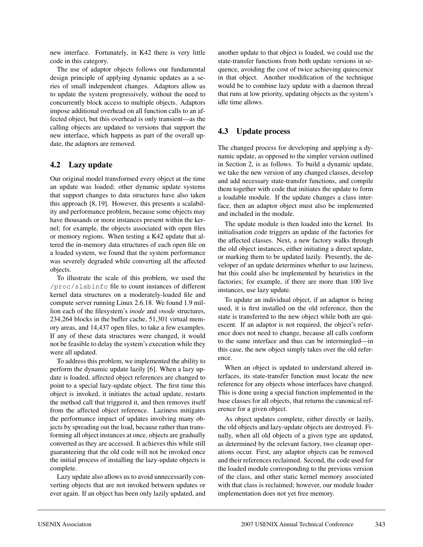new interface. Fortunately, in K42 there is very little code in this category.

The use of adaptor objects follows our fundamental design principle of applying dynamic updates as a series of small independent changes. Adaptors allow us to update the system progressively, without the need to concurrently block access to multiple objects. Adaptors impose additional overhead on all function calls to an affected object, but this overhead is only transient—as the calling objects are updated to versions that support the new interface, which happens as part of the overall update, the adaptors are removed.

# **4.2 Lazy update**

Our original model transformed every object at the time an update was loaded; other dynamic update systems that support changes to data structures have also taken this approach [8, 19]. However, this presents a scalability and performance problem, because some objects may have thousands or more instances present within the kernel; for example, the objects associated with open files or memory regions. When testing a K42 update that altered the in-memory data structures of each open file on a loaded system, we found that the system performance was severely degraded while converting all the affected objects.

To illustrate the scale of this problem, we used the /proc/slabinfo file to count instances of different kernel data structures on a moderately-loaded file and compute server running Linux 2.6.18. We found 1.9 million each of the filesystem's *inode* and *vnode* structures, 234,264 blocks in the buffer cache, 51,301 virtual memory areas, and 14,437 open files, to take a few examples. If any of these data structures were changed, it would not be feasible to delay the system's execution while they were all updated.

To address this problem, we implemented the ability to perform the dynamic update lazily [6]. When a lazy update is loaded, affected object references are changed to point to a special lazy-update object. The first time this object is invoked, it initiates the actual update, restarts the method call that triggered it, and then removes itself from the affected object reference. Laziness mitigates the performance impact of updates involving many objects by spreading out the load, because rather than transforming all object instances at once, objects are gradually converted as they are accessed. It achieves this while still guaranteeing that the old code will not be invoked once the initial process of installing the lazy-update objects is complete.

Lazy update also allows us to avoid unnecessarily converting objects that are not invoked between updates or ever again. If an object has been only lazily updated, and

another update to that object is loaded, we could use the state-transfer functions from both update versions in sequence, avoiding the cost of twice achieving quiescence in that object. Another modification of the technique would be to combine lazy update with a daemon thread that runs at low priority, updating objects as the system's idle time allows.

# **4.3 Update process**

The changed process for developing and applying a dynamic update, as opposed to the simpler version outlined in Section 2, is as follows. To build a dynamic update, we take the new version of any changed classes, develop and add necessary state-transfer functions, and compile them together with code that initiates the update to form a loadable module. If the update changes a class interface, then an adaptor object must also be implemented and included in the module.

The update module is then loaded into the kernel. Its initialisation code triggers an update of the factories for the affected classes. Next, a new factory walks through the old object instances, either initiating a direct update, or marking them to be updated lazily. Presently, the developer of an update determines whether to use laziness, but this could also be implemented by heuristics in the factories; for example, if there are more than 100 live instances, use lazy update.

To update an individual object, if an adaptor is being used, it is first installed on the old reference, then the state is transferred to the new object while both are quiescent. If an adaptor is not required, the object's reference does not need to change, because all calls conform to the same interface and thus can be intermingled—in this case, the new object simply takes over the old reference.

When an object is updated to understand altered interfaces, its state-transfer function must locate the new reference for any objects whose interfaces have changed. This is done using a special function implemented in the base classes for all objects, that returns the canonical reference for a given object.

As object updates complete, either directly or lazily, the old objects and lazy-update objects are destroyed. Finally, when all old objects of a given type are updated, as determined by the relevant factory, two cleanup operations occur. First, any adaptor objects can be removed and their references reclaimed. Second, the code used for the loaded module corresponding to the previous version of the class, and other static kernel memory associated with that class is reclaimed; however, our module loader implementation does not yet free memory.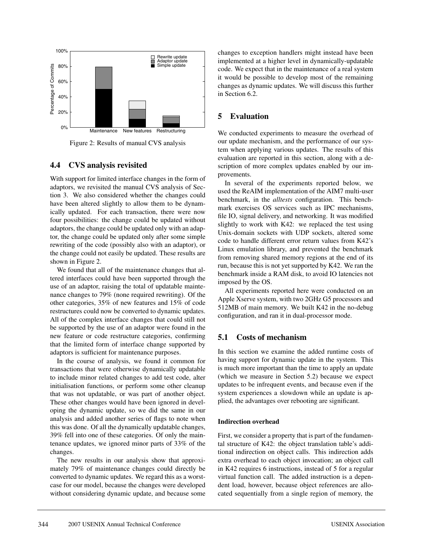

Figure 2: Results of manual CVS analysis

# **4.4 CVS analysis revisited**

With support for limited interface changes in the form of adaptors, we revisited the manual CVS analysis of Section 3. We also considered whether the changes could have been altered slightly to allow them to be dynamically updated. For each transaction, there were now four possibilities: the change could be updated without adaptors, the change could be updated only with an adaptor, the change could be updated only after some simple rewriting of the code (possibly also with an adaptor), or the change could not easily be updated. These results are shown in Figure 2.

We found that all of the maintenance changes that altered interfaces could have been supported through the use of an adaptor, raising the total of updatable maintenance changes to 79% (none required rewriting). Of the other categories, 35% of new features and 15% of code restructures could now be converted to dynamic updates. All of the complex interface changes that could still not be supported by the use of an adaptor were found in the new feature or code restructure categories, confirming that the limited form of interface change supported by adaptors is sufficient for maintenance purposes.

In the course of analysis, we found it common for transactions that were otherwise dynamically updatable to include minor related changes to add test code, alter initialisation functions, or perform some other cleanup that was not updatable, or was part of another object. These other changes would have been ignored in developing the dynamic update, so we did the same in our analysis and added another series of flags to note when this was done. Of all the dynamically updatable changes, 39% fell into one of these categories. Of only the maintenance updates, we ignored minor parts of 33% of the changes.

The new results in our analysis show that approximately 79% of maintenance changes could directly be converted to dynamic updates. We regard this as a worstcase for our model, because the changes were developed without considering dynamic update, and because some changes to exception handlers might instead have been implemented at a higher level in dynamically-updatable code. We expect that in the maintenance of a real system it would be possible to develop most of the remaining changes as dynamic updates. We will discuss this further in Section 6.2.

# **5 Evaluation**

We conducted experiments to measure the overhead of our update mechanism, and the performance of our system when applying various updates. The results of this evaluation are reported in this section, along with a description of more complex updates enabled by our improvements.

In several of the experiments reported below, we used the ReAIM implementation of the AIM7 multi-user benchmark, in the *alltests* configuration. This benchmark exercises OS services such as IPC mechanisms, file IO, signal delivery, and networking. It was modified slightly to work with K42: we replaced the test using Unix-domain sockets with UDP sockets, altered some code to handle different error return values from K42's Linux emulation library, and prevented the benchmark from removing shared memory regions at the end of its run, because this is not yet supported by K42. We ran the benchmark inside a RAM disk, to avoid IO latencies not imposed by the OS.

All experiments reported here were conducted on an Apple Xserve system, with two 2GHz G5 processors and 512MB of main memory. We built K42 in the no-debug configuration, and ran it in dual-processor mode.

# **5.1 Costs of mechanism**

In this section we examine the added runtime costs of having support for dynamic update in the system. This is much more important than the time to apply an update (which we measure in Section 5.2) because we expect updates to be infrequent events, and because even if the system experiences a slowdown while an update is applied, the advantages over rebooting are significant.

### **Indirection overhead**

First, we consider a property that is part of the fundamental structure of K42: the object translation table's additional indirection on object calls. This indirection adds extra overhead to each object invocation; an object call in K42 requires 6 instructions, instead of 5 for a regular virtual function call. The added instruction is a dependent load, however, because object references are allocated sequentially from a single region of memory, the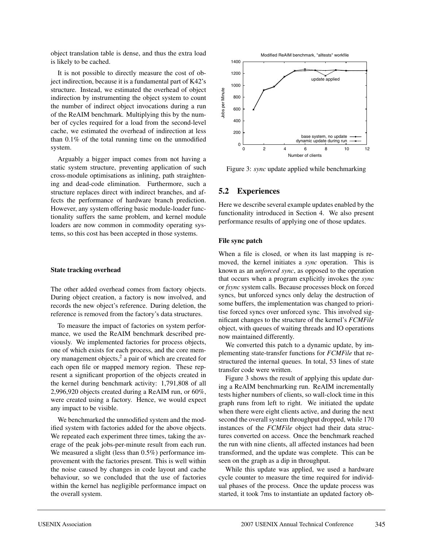object translation table is dense, and thus the extra load is likely to be cached.

It is not possible to directly measure the cost of object indirection, because it is a fundamental part of K42's structure. Instead, we estimated the overhead of object indirection by instrumenting the object system to count the number of indirect object invocations during a run of the ReAIM benchmark. Multiplying this by the number of cycles required for a load from the second-level cache, we estimated the overhead of indirection at less than 0.1% of the total running time on the unmodified system.

Arguably a bigger impact comes from not having a static system structure, preventing application of such cross-module optimisations as inlining, path straightening and dead-code elimination. Furthermore, such a structure replaces direct with indirect branches, and affects the performance of hardware branch prediction. However, any system offering basic module-loader functionality suffers the same problem, and kernel module loaders are now common in commodity operating systems, so this cost has been accepted in those systems.

#### **State tracking overhead**

The other added overhead comes from factory objects. During object creation, a factory is now involved, and records the new object's reference. During deletion, the reference is removed from the factory's data structures.

To measure the impact of factories on system performance, we used the ReAIM benchmark described previously. We implemented factories for process objects, one of which exists for each process, and the core memory management objects,<sup>2</sup> a pair of which are created for each open file or mapped memory region. These represent a significant proportion of the objects created in the kernel during benchmark activity: 1,791,808 of all 2,996,920 objects created during a ReAIM run, or 60%, were created using a factory. Hence, we would expect any impact to be visible.

We benchmarked the unmodified system and the modified system with factories added for the above objects. We repeated each experiment three times, taking the average of the peak jobs-per-minute result from each run. We measured a slight (less than 0.5%) performance improvement with the factories present. This is well within the noise caused by changes in code layout and cache behaviour, so we concluded that the use of factories within the kernel has negligible performance impact on the overall system.



Figure 3: *sync* update applied while benchmarking

#### **5.2 Experiences**

Here we describe several example updates enabled by the functionality introduced in Section 4. We also present performance results of applying one of those updates.

#### **File sync patch**

When a file is closed, or when its last mapping is removed, the kernel initiates a *sync* operation. This is known as an *unforced sync*, as opposed to the operation that occurs when a program explicitly invokes the *sync* or *fsync* system calls. Because processes block on forced syncs, but unforced syncs only delay the destruction of some buffers, the implementation was changed to prioritise forced syncs over unforced sync. This involved significant changes to the structure of the kernel's *FCMFile* object, with queues of waiting threads and IO operations now maintained differently.

We converted this patch to a dynamic update, by implementing state-transfer functions for *FCMFile* that restructured the internal queues. In total, 53 lines of state transfer code were written.

Figure 3 shows the result of applying this update during a ReAIM benchmarking run. ReAIM incrementally tests higher numbers of clients, so wall-clock time in this graph runs from left to right. We initiated the update when there were eight clients active, and during the next second the overall system throughput dropped, while 170 instances of the *FCMFile* object had their data structures converted on access. Once the benchmark reached the run with nine clients, all affected instances had been transformed, and the update was complete. This can be seen on the graph as a dip in throughput.

While this update was applied, we used a hardware cycle counter to measure the time required for individual phases of the process. Once the update process was started, it took 7ms to instantiate an updated factory ob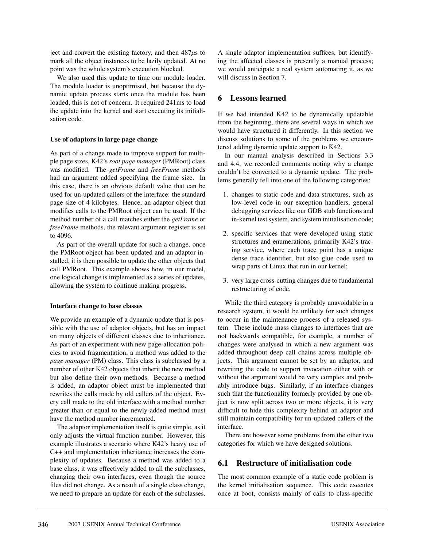ject and convert the existing factory, and then  $487\mu s$  to mark all the object instances to be lazily updated. At no point was the whole system's execution blocked.

We also used this update to time our module loader. The module loader is unoptimised, but because the dynamic update process starts once the module has been loaded, this is not of concern. It required 241ms to load the update into the kernel and start executing its initialisation code.

### **Use of adaptors in large page change**

As part of a change made to improve support for multiple page sizes, K42's *root page manager* (PMRoot) class was modified. The *getFrame* and *freeFrame* methods had an argument added specifying the frame size. In this case, there is an obvious default value that can be used for un-updated callers of the interface: the standard page size of 4 kilobytes. Hence, an adaptor object that modifies calls to the PMRoot object can be used. If the method number of a call matches either the *getFrame* or *freeFrame* methods, the relevant argument register is set to 4096.

As part of the overall update for such a change, once the PMRoot object has been updated and an adaptor installed, it is then possible to update the other objects that call PMRoot. This example shows how, in our model, one logical change is implemented as a series of updates, allowing the system to continue making progress.

### **Interface change to base classes**

We provide an example of a dynamic update that is possible with the use of adaptor objects, but has an impact on many objects of different classes due to inheritance. As part of an experiment with new page-allocation policies to avoid fragmentation, a method was added to the *page manager* (PM) class. This class is subclassed by a number of other K42 objects that inherit the new method but also define their own methods. Because a method is added, an adaptor object must be implemented that rewrites the calls made by old callers of the object. Every call made to the old interface with a method number greater than or equal to the newly-added method must have the method number incremented.

The adaptor implementation itself is quite simple, as it only adjusts the virtual function number. However, this example illustrates a scenario where K42's heavy use of C++ and implementation inheritance increases the complexity of updates. Because a method was added to a base class, it was effectively added to all the subclasses, changing their own interfaces, even though the source files did not change. As a result of a single class change, we need to prepare an update for each of the subclasses.

A single adaptor implementation suffices, but identifying the affected classes is presently a manual process; we would anticipate a real system automating it, as we will discuss in Section 7.

# **6 Lessons learned**

If we had intended K42 to be dynamically updatable from the beginning, there are several ways in which we would have structured it differently. In this section we discuss solutions to some of the problems we encountered adding dynamic update support to K42.

In our manual analysis described in Sections 3.3 and 4.4, we recorded comments noting why a change couldn't be converted to a dynamic update. The problems generally fell into one of the following categories:

- 1. changes to static code and data structures, such as low-level code in our exception handlers, general debugging services like our GDB stub functions and in-kernel test system, and system initialisation code;
- 2. specific services that were developed using static structures and enumerations, primarily K42's tracing service, where each trace point has a unique dense trace identifier, but also glue code used to wrap parts of Linux that run in our kernel;
- 3. very large cross-cutting changes due to fundamental restructuring of code.

While the third category is probably unavoidable in a research system, it would be unlikely for such changes to occur in the maintenance process of a released system. These include mass changes to interfaces that are not backwards compatible, for example, a number of changes were analysed in which a new argument was added throughout deep call chains across multiple objects. This argument cannot be set by an adaptor, and rewriting the code to support invocation either with or without the argument would be very complex and probably introduce bugs. Similarly, if an interface changes such that the functionality formerly provided by one object is now split across two or more objects, it is very difficult to hide this complexity behind an adaptor and still maintain compatibility for un-updated callers of the interface.

There are however some problems from the other two categories for which we have designed solutions.

# **6.1 Restructure of initialisation code**

The most common example of a static code problem is the kernel initialisation sequence. This code executes once at boot, consists mainly of calls to class-specific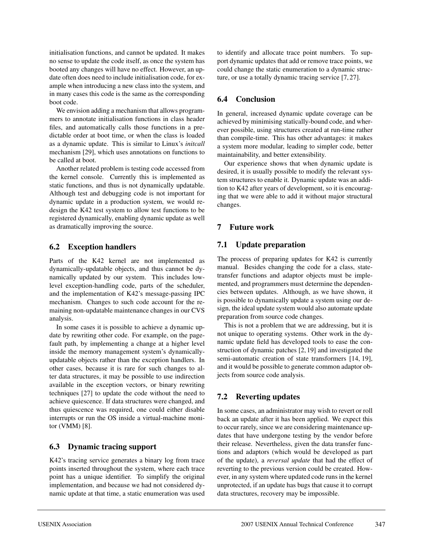initialisation functions, and cannot be updated. It makes no sense to update the code itself, as once the system has booted any changes will have no effect. However, an update often does need to include initialisation code, for example when introducing a new class into the system, and in many cases this code is the same as the corresponding boot code.

We envision adding a mechanism that allows programmers to annotate initialisation functions in class header files, and automatically calls those functions in a predictable order at boot time, or when the class is loaded as a dynamic update. This is similar to Linux's *initcall* mechanism [29], which uses annotations on functions to be called at boot.

Another related problem is testing code accessed from the kernel console. Currently this is implemented as static functions, and thus is not dynamically updatable. Although test and debugging code is not important for dynamic update in a production system, we would redesign the K42 test system to allow test functions to be registered dynamically, enabling dynamic update as well as dramatically improving the source.

### **6.2 Exception handlers**

Parts of the K42 kernel are not implemented as dynamically-updatable objects, and thus cannot be dynamically updated by our system. This includes lowlevel exception-handling code, parts of the scheduler, and the implementation of K42's message-passing IPC mechanism. Changes to such code account for the remaining non-updatable maintenance changes in our CVS analysis.

In some cases it is possible to achieve a dynamic update by rewriting other code. For example, on the pagefault path, by implementing a change at a higher level inside the memory management system's dynamicallyupdatable objects rather than the exception handlers. In other cases, because it is rare for such changes to alter data structures, it may be possible to use indirection available in the exception vectors, or binary rewriting techniques [27] to update the code without the need to achieve quiescence. If data structures were changed, and thus quiescence was required, one could either disable interrupts or run the OS inside a virtual-machine monitor (VMM) [8].

# **6.3 Dynamic tracing support**

K42's tracing service generates a binary log from trace points inserted throughout the system, where each trace point has a unique identifier. To simplify the original implementation, and because we had not considered dynamic update at that time, a static enumeration was used to identify and allocate trace point numbers. To support dynamic updates that add or remove trace points, we could change the static enumeration to a dynamic structure, or use a totally dynamic tracing service [7, 27].

# **6.4 Conclusion**

In general, increased dynamic update coverage can be achieved by minimising statically-bound code, and wherever possible, using structures created at run-time rather than compile-time. This has other advantages: it makes a system more modular, leading to simpler code, better maintainability, and better extensibility.

Our experience shows that when dynamic update is desired, it is usually possible to modify the relevant system structures to enable it. Dynamic update was an addition to K42 after years of development, so it is encouraging that we were able to add it without major structural changes.

# **7 Future work**

### **7.1 Update preparation**

The process of preparing updates for K42 is currently manual. Besides changing the code for a class, statetransfer functions and adaptor objects must be implemented, and programmers must determine the dependencies between updates. Although, as we have shown, it is possible to dynamically update a system using our design, the ideal update system would also automate update preparation from source code changes.

This is not a problem that we are addressing, but it is not unique to operating systems. Other work in the dynamic update field has developed tools to ease the construction of dynamic patches [2, 19] and investigated the semi-automatic creation of state transformers [14, 19], and it would be possible to generate common adaptor objects from source code analysis.

# **7.2 Reverting updates**

In some cases, an administrator may wish to revert or roll back an update after it has been applied. We expect this to occur rarely, since we are considering maintenance updates that have undergone testing by the vendor before their release. Nevertheless, given the data transfer functions and adaptors (which would be developed as part of the update), a *reversal update* that had the effect of reverting to the previous version could be created. However, in any system where updated code runs in the kernel unprotected, if an update has bugs that cause it to corrupt data structures, recovery may be impossible.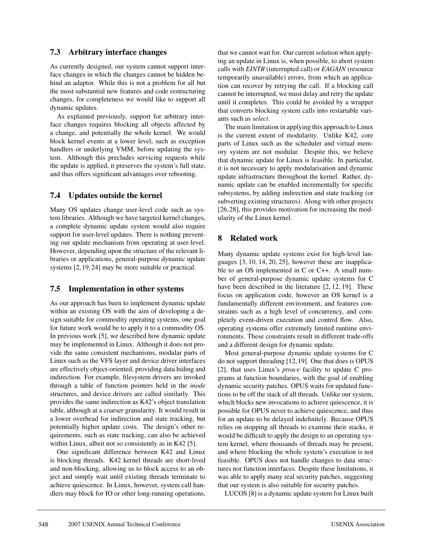### **7.3 Arbitrary interface changes**

As currently designed, our system cannot support interface changes in which the changes cannot be hidden behind an adaptor. While this is not a problem for all but the most substantial new features and code restructuring changes, for completeness we would like to support all dynamic updates.

As explained previously, support for arbitrary interface changes requires blocking all objects affected by a change, and potentially the whole kernel. We would block kernel events at a lower level, such as exception handlers or underlying VMM, before updating the system. Although this precludes servicing requests while the update is applied, it preserves the system's full state, and thus offers significant advantages over rebooting.

# **7.4 Updates outside the kernel**

Many OS updates change user-level code such as system libraries. Although we have targeted kernel changes, a complete dynamic update system would also require support for user-level updates. There is nothing preventing our update mechanism from operating at user-level. However, depending upon the structure of the relevant libraries or applications, general-purpose dynamic update systems [2, 19, 24] may be more suitable or practical.

# **7.5 Implementation in other systems**

As our approach has been to implement dynamic update within an existing OS with the aim of developing a design suitable for commodity operating systems, one goal for future work would be to apply it to a commodity OS. In previous work [5], we described how dynamic update may be implemented in Linux. Although it does not provide the same consistent mechanisms, modular parts of Linux such as the VFS layer and device driver interfaces are effectively object-oriented, providing data hiding and indirection. For example, filesystem drivers are invoked through a table of function pointers held in the *inode* structures, and device drivers are called similarly. This provides the same indirection as K42's object translation table, although at a coarser granularity. It would result in a lower overhead for indirection and state tracking, but potentially higher update costs. The design's other requirements, such as state tracking, can also be achieved within Linux, albeit not so consistently as in K42 [5].

One significant difference between K42 and Linux is blocking threads. K42 kernel threads are short-lived and non-blocking, allowing us to block access to an object and simply wait until existing threads terminate to achieve quiescence. In Linux, however, system call handlers may block for IO or other long-running operations,

that we cannot wait for. Our current solution when applying an update in Linux is, when possible, to abort system calls with *EINTR* (interrupted call) or *EAGAIN* (resource temporarily unavailable) errors, from which an application can recover by retrying the call. If a blocking call cannot be interrupted, we must delay and retry the update until it completes. This could be avoided by a wrapper that converts blocking system calls into restartable variants such as *select*.

The main limitation in applying this approach to Linux is the current extent of modularity. Unlike K42, core parts of Linux such as the scheduler and virtual memory system are not modular. Despite this, we believe that dynamic update for Linux is feasible. In particular, it is not necessary to apply modularisation and dynamic update infrastructure throughout the kernel. Rather, dynamic update can be enabled incrementally for specific subsystems, by adding indirection and state tracking (or subverting existing structures). Along with other projects [26,28], this provides motivation for increasing the modularity of the Linux kernel.

# **8 Related work**

Many dynamic update systems exist for high-level languages [3, 10, 14, 20, 25], however these are inapplicable to an OS implemented in C or C++. A small number of general-purpose dynamic update systems for C have been described in the literature [2, 12, 19]. These focus on application code, however an OS kernel is a fundamentally different environment, and features constraints such as a high level of concurrency, and completely event-driven execution and control flow. Also, operating systems offer extremely limited runtime environments. These constraints result in different trade-offs and a different design for dynamic update.

Most general-purpose dynamic update systems for C do not support threading [12,19]. One that does is OPUS [2], that uses Linux's *ptrace* facility to update C programs at function boundaries, with the goal of enabling dynamic security patches. OPUS waits for updated functions to be off the stack of all threads. Unlike our system, which blocks new invocations to achieve quiescence, it is possible for OPUS never to achieve quiescence, and thus for an update to be delayed indefinitely. Because OPUS relies on stopping all threads to examine their stacks, it would be difficult to apply the design to an operating system kernel, where thousands of threads may be present, and where blocking the whole system's execution is not feasible. OPUS does not handle changes to data structures nor function interfaces. Despite these limitations, it was able to apply many real security patches, suggesting that our system is also suitable for security patches.

LUCOS [8] is a dynamic update system for Linux built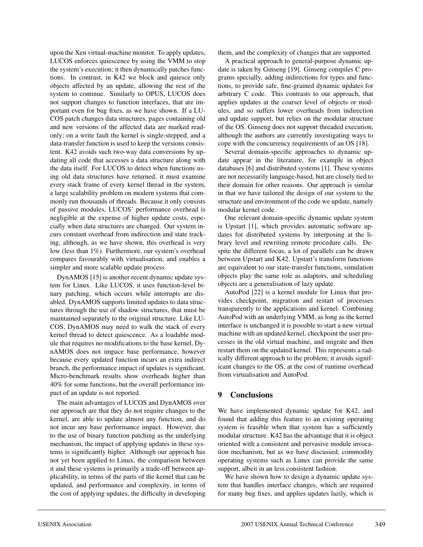upon the Xen virtual-machine monitor. To apply updates, LUCOS enforces quiescence by using the VMM to stop the system's execution; it then dynamically patches functions. In contrast, in K42 we block and quiesce only objects affected by an update, allowing the rest of the system to continue. Similarly to OPUS, LUCOS does not support changes to function interfaces, that are important even for bug fixes, as we have shown. If a LU-COS patch changes data structures, pages containing old and new versions of the affected data are marked readonly; on a write fault the kernel is single-stepped, and a data-transfer function is used to keep the versions consistent. K42 avoids such two-way data conversions by updating all code that accesses a data structure along with the data itself. For LUCOS to detect when functions using old data structures have returned, it must examine every stack frame of every kernel thread in the system, a large scalability problem on modern systems that commonly run thousands of threads. Because it only consists of passive modules, LUCOS' performance overhead is negligible at the expense of higher update costs, especially when data structures are changed. Our system incurs constant overhead from indirection and state tracking, although, as we have shown, this overhead is very low (less than 1%). Furthermore, our system's overhead compares favourably with virtualisation, and enables a simpler and more scalable update process.

DynAMOS [15] is another recent dynamic update system for Linux. Like LUCOS, it uses function-level binary patching, which occurs while interrupts are disabled. DynAMOS supports limited updates to data structures through the use of shadow structures, that must be maintained separately to the original structure. Like LU-COS, DynAMOS may need to walk the stack of every kernel thread to detect quiescence. As a loadable module that requires no modifications to the base kernel, DynAMOS does not impace base performance, however because every updated function incurs an extra indirect branch, the performance impact of updates is significant. Micro-benchmark results show overheads higher than 40% for some functions, but the overall performance impact of an update is not reported.

The main advantages of LUCOS and DynAMOS over our approach are that they do not require changes to the kernel, are able to update almost any function, and do not incur any base performance impact. However, due to the use of binary function patching as the underlying mechanism, the impact of applying updates in these systems is significantly higher. Although our approach has not yet been applied to Linux, the comparison between it and these systems is primarily a trade-off between applicability, in terms of the parts of the kernel that can be updated, and performance and complexity, in terms of the cost of applying updates, the difficulty in developing

them, and the complexity of changes that are supported.

A practical approach to general-purpose dynamic update is taken by Ginseng [19]. Ginseng compiles C programs specially, adding indirections for types and functions, to provide safe, fine-grained dynamic updates for arbitrary C code. This contrasts to our approach, that applies updates at the coarser level of objects or modules, and so suffers lower overheads from indirection and update support, but relies on the modular structure of the OS. Ginseng does not support threaded execution, although the authors are currently investigating ways to cope with the concurrency requirements of an OS [18].

Several domain-specific approaches to dynamic update appear in the literature, for example in object databases [6] and distributed systems [1]. These systems are not necessarily language-based, but are closely tied to their domain for other reasons. Our approach is similar in that we have tailored the design of our system to the structure and environment of the code we update, namely modular kernel code.

One relevant domain-specific dynamic update system is Upstart [1], which provides automatic software updates for distributed systems by interposing at the library level and rewriting remote procedure calls. Despite the different focus, a lot of parallels can be drawn between Upstart and K42. Upstart's transform functions are equivalent to our state-transfer functions, simulation objects play the same role as adaptors, and scheduling objects are a generalisation of lazy update.

AutoPod [22] is a kernel module for Linux that provides checkpoint, migration and restart of processes transparently to the applications and kernel. Combining AutoPod with an underlying VMM, as long as the kernel interface is unchanged it is possible to start a new virtual machine with an updated kernel, checkpoint the user processes in the old virtual machine, and migrate and then restart them on the updated kernel. This represents a radically different approach to the problem; it avoids significant changes to the OS, at the cost of runtime overhead from virtualisation and AutoPod.

# **9 Conclusions**

We have implemented dynamic update for K42, and found that adding this feature to an existing operating system is feasible when that system has a sufficiently modular structure. K42 has the advantage that it is object oriented with a consistent and pervasive module invocation mechanism, but as we have discussed, commodity operating systems such as Linux can provide the same support, albeit in an less consistent fashion.

We have shown how to design a dynamic update system that handles interface changes, which are required for many bug fixes, and applies updates lazily, which is